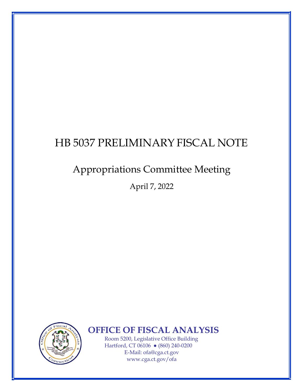# HB 5037 PRELIMINARY FISCAL NOTE

## **Appropriations Committee Meeting**

April 7, 2022



**OFFICE OF FISCAL ANALYSIS** 

Room 5200, Legislative Office Building Hartford, CT 06106 • (860) 240-0200 E-Mail: ofa@cga.ct.gov www.cga.ct.gov/ofa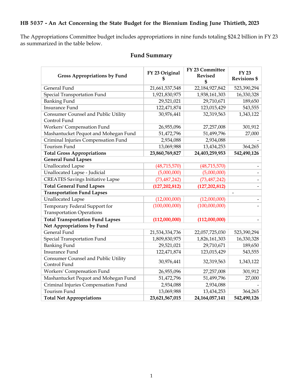### **HB 5037 - An Act Concerning the State Budget for the Biennium Ending June Thirtieth, 2023**

The Appropriations Committee budget includes appropriations in nine funds totaling \$24.2 billion in FY 23 as summarized in the table below.

| <b>Gross Appropriations by Fund</b>                               | FY 23 Original<br>\$ | FY 23 Committee<br><b>Revised</b><br>\$ | <b>FY 23</b><br><b>Revisions \$</b> |
|-------------------------------------------------------------------|----------------------|-----------------------------------------|-------------------------------------|
| General Fund                                                      | 21,661,537,548       | 22,184,927,842                          | 523,390,294                         |
| Special Transportation Fund                                       | 1,921,830,975        | 1,938,161,303                           | 16,330,328                          |
| <b>Banking Fund</b>                                               | 29,521,021           | 29,710,671                              | 189,650                             |
| <b>Insurance Fund</b>                                             | 122,471,874          | 123,015,429                             | 543,555                             |
| Consumer Counsel and Public Utility<br>Control Fund               | 30,976,441           | 32,319,563                              | 1,343,122                           |
| Workers' Compensation Fund                                        | 26,955,096           | 27,257,008                              | 301,912                             |
| Mashantucket Pequot and Mohegan Fund                              | 51,472,796           | 51,499,796                              | 27,000                              |
| Criminal Injuries Compensation Fund                               | 2,934,088            | 2,934,088                               |                                     |
| Tourism Fund                                                      | 13,069,988           | 13,434,253                              | 364,265                             |
| <b>Total Gross Appropriations</b>                                 | 23,860,769,827       | 24,403,259,953                          | 542,490,126                         |
| <b>General Fund Lapses</b>                                        |                      |                                         |                                     |
| <b>Unallocated Lapse</b>                                          | (48,715,570)         | (48,715,570)                            |                                     |
| Unallocated Lapse - Judicial                                      | (5,000,000)          | (5,000,000)                             |                                     |
| <b>CREATES Savings Initiative Lapse</b>                           | (73, 487, 242)       | (73, 487, 242)                          |                                     |
| <b>Total General Fund Lapses</b>                                  | (127, 202, 812)      | (127, 202, 812)                         |                                     |
| <b>Transportation Fund Lapses</b>                                 |                      |                                         | $\overline{\phantom{0}}$            |
| <b>Unallocated Lapse</b>                                          | (12,000,000)         | (12,000,000)                            | $\overline{\phantom{0}}$            |
| Temporary Federal Support for<br><b>Transportation Operations</b> | (100,000,000)        | (100,000,000)                           |                                     |
| <b>Total Transportation Fund Lapses</b>                           | (112,000,000)        | (112,000,000)                           |                                     |
| Net Appropriations by Fund                                        |                      |                                         |                                     |
| General Fund                                                      | 21,534,334,736       | 22,057,725,030                          | 523,390,294                         |
| Special Transportation Fund                                       | 1,809,830,975        | 1,826,161,303                           | 16,330,328                          |
| <b>Banking Fund</b>                                               | 29,521,021           | 29,710,671                              | 189,650                             |
| <b>Insurance Fund</b>                                             | 122,471,874          | 123,015,429                             | 543,555                             |
| Consumer Counsel and Public Utility<br>Control Fund               | 30,976,441           | 32,319,563                              | 1,343,122                           |
| Workers' Compensation Fund                                        | 26,955,096           | 27,257,008                              | 301,912                             |
| Mashantucket Pequot and Mohegan Fund                              | 51,472,796           | 51,499,796                              | 27,000                              |
| Criminal Injuries Compensation Fund                               | 2,934,088            | 2,934,088                               |                                     |
| Tourism Fund                                                      | 13,069,988           | 13,434,253                              | 364,265                             |
| <b>Total Net Appropriations</b>                                   | 23,621,567,015       | 24, 164, 057, 141                       | 542,490,126                         |

## **Fund Summary**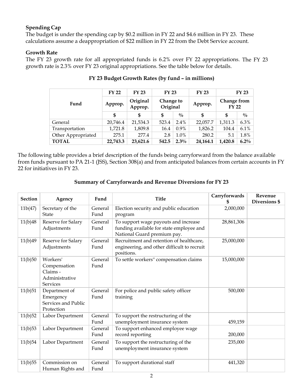#### **Spending Cap**

The budget is under the spending cap by \$0.2 million in FY 22 and \$4.6 million in FY 23. These calculations assume a deappropriation of \$22 million in FY 22 from the Debt Service account.

#### **Growth Rate**

The FY 23 growth rate for all appropriated funds is 6.2% over FY 22 appropriations. The FY 23 growth rate is 2.3% over FY 23 original appropriations. See the table below for details.

|                    | <b>FY 22</b> | <b>FY 23</b>        | <b>FY 23</b>          |               | <b>FY 23</b> | <b>FY 23</b>                |               |
|--------------------|--------------|---------------------|-----------------------|---------------|--------------|-----------------------------|---------------|
| Fund               | Approp.      | Original<br>Approp. | Change to<br>Original |               | Approp.      | Change from<br><b>FY 22</b> |               |
|                    | \$           | \$                  | \$                    | $\frac{0}{0}$ | \$           | \$                          | $\frac{0}{0}$ |
| General            | 20,746.4     | 21,534.3            | 523.4                 | 2.4%          | 22,057.7     | 1,311.3                     | 6.3%          |
| Transportation     | 1,721.8      | 1,809.8             | 16.4                  | $0.9\%$       | 1,826.2      | 104.4                       | $6.1\%$       |
| Other Appropriated | 275.1        | 277.4               | 2.8                   | $1.0\%$       | 280.2        | 5.1                         | 1.8%          |
| <b>TOTAL</b>       | 22,743.3     | 23,621.6            | 542.5                 | $2.3\%$       | 24,164.1     | 1,420.8                     | $6.2\%$       |

#### **FY 23 Budget Growth Rates (by fund – in millions)**

The following table provides a brief description of the funds being carryforward from the balance available from funds pursuant to PA 21-1 (JSS), Section 308(a) and from anticipated balances from certain accounts in FY 22 for initiatives in FY 23.

#### **Summary of Carryforwards and Revenue Diversions for FY 23**

| <b>Section</b> | Agency                                                                    | Fund            | <b>Title</b>                                                                                                    | Carryforwards | Revenue<br>Diversions \$ |
|----------------|---------------------------------------------------------------------------|-----------------|-----------------------------------------------------------------------------------------------------------------|---------------|--------------------------|
| 11b(47)        | Secretary of the<br><b>State</b>                                          | General<br>Fund | Election security and public education<br>program                                                               | 2,000,000     |                          |
| 11(b)48        | Reserve for Salary<br>Adjustments                                         | General<br>Fund | To support wage payouts and increase<br>funding available for state employee and<br>National Guard premium pay. | 28,861,306    |                          |
| 11(b)49        | Reserve for Salary<br>Adjustments                                         | General<br>Fund | Recruitment and retention of healthcare,<br>engineering, and other difficult to recruit<br>positions.           | 25,000,000    |                          |
| 11(b)50        | Workers'<br>Compensation<br>Claims -<br>Administrative<br><b>Services</b> | General<br>Fund | To settle workers" compensation claims                                                                          | 15,000,000    |                          |
| 11(b)51        | Department of<br>Emergency<br>Services and Public<br>Protection           | General<br>Fund | For police and public safety officer<br>training                                                                | 500,000       |                          |
| 11(b)52        | Labor Department                                                          | General<br>Fund | To support the restructuring of the<br>unemployment insurance system                                            | 459,159       |                          |
| 11(b)53        | Labor Department                                                          | General<br>Fund | To support enhanced employee wage<br>record reporting                                                           | 200,000       |                          |
| 11(b)54        | Labor Department                                                          | General<br>Fund | To support the restructuring of the<br>unemployment insurance system                                            | 235,000       |                          |
| 11(b)55        | Commission on<br>Human Rights and                                         | General<br>Fund | To support durational staff                                                                                     | 441,320       |                          |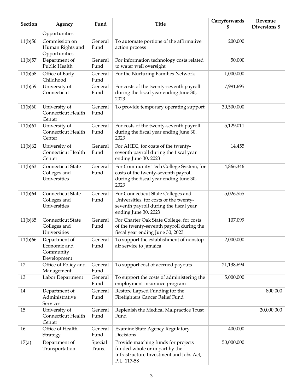| <b>Section</b> | Agency                                                    | Fund              | <b>Title</b>                                                                                                                                   | Carryforwards | Revenue<br>Diversions \$ |
|----------------|-----------------------------------------------------------|-------------------|------------------------------------------------------------------------------------------------------------------------------------------------|---------------|--------------------------|
|                | Opportunities                                             |                   |                                                                                                                                                | 5             |                          |
| 11(b)56        | Commission on<br>Human Rights and<br>Opportunities        | General<br>Fund   | To automate portions of the affirmative<br>action process                                                                                      | 200,000       |                          |
| 11(b)57        | Department of<br>Public Health                            | General<br>Fund   | For information technology costs related<br>to water well oversight                                                                            | 50,000        |                          |
| 11(b)58        | Office of Early<br>Childhood                              | General<br>Fund   | For the Nurturing Families Network                                                                                                             | 1,000,000     |                          |
| 11(b)59        | University of<br>Connecticut                              | General<br>Fund   | For costs of the twenty-seventh payroll<br>during the fiscal year ending June 30,<br>2023                                                      | 7,991,695     |                          |
| 11(b)60        | University of<br>Connecticut Health<br>Center             | General<br>Fund   | To provide temporary operating support                                                                                                         | 30,500,000    |                          |
| 11(b)61        | University of<br>Connecticut Health<br>Center             | General<br>Fund   | For costs of the twenty-seventh payroll<br>during the fiscal year ending June 30,<br>2023                                                      | 5,129,011     |                          |
| 11(b)62        | University of<br>Connecticut Health<br>Center             | General<br>Fund   | For AHEC, for costs of the twenty-<br>seventh payroll during the fiscal year<br>ending June 30, 2023                                           | 14,455        |                          |
| 11(b)63        | Connecticut State<br>Colleges and<br>Universities         | General<br>Fund   | For Community Tech College System, for<br>costs of the twenty-seventh payroll<br>during the fiscal year ending June 30,<br>2023                | 4,866,346     |                          |
| 11(b) 64       | Connecticut State<br>Colleges and<br>Universities         | General<br>Fund   | For Connecticut State Colleges and<br>Universities, for costs of the twenty-<br>seventh payroll during the fiscal year<br>ending June 30, 2023 | 5,026,555     |                          |
| 11(b)65        | Connecticut State<br>Colleges and<br>Universities         | General<br>Fund   | For Charter Oak State College, for costs<br>of the twenty-seventh payroll during the<br>fiscal year ending June 30, 2023                       | 107,099       |                          |
| 11(b)66        | Department of<br>Economic and<br>Community<br>Development | General<br>Fund   | To support the establishment of nonstop<br>air service to Jamaica                                                                              | 2,000,000     |                          |
| 12             | Office of Policy and<br>Management                        | General<br>Fund   | To support cost of accrued payouts                                                                                                             | 21,138,694    |                          |
| 13             | Labor Department                                          | General<br>Fund   | To support the costs of administering the<br>employment insurance program                                                                      | 5,000,000     |                          |
| 14             | Department of<br>Administrative<br>Services               | General<br>Fund   | Restore Lapsed Funding for the<br>Firefighters Cancer Relief Fund                                                                              |               | 800,000                  |
| 15             | University of<br>Connecticut Health<br>Center             | General<br>Fund   | Replenish the Medical Malpractice Trust<br>Fund                                                                                                |               | 20,000,000               |
| $16\,$         | Office of Health<br>Strategy                              | General<br>Fund   | <b>Examine State Agency Regulatory</b><br>Decisions                                                                                            | 400,000       |                          |
| 17(a)          | Department of<br>Transportation                           | Special<br>Trans. | Provide matching funds for projects<br>funded whole or in part by the<br>Infrastructure Investment and Jobs Act,<br>P.L. 117-58                | 50,000,000    |                          |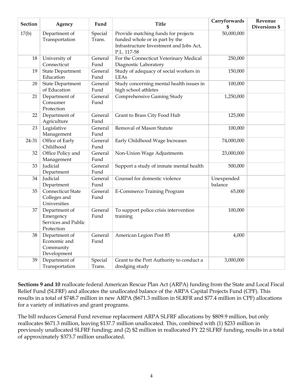| <b>Section</b> | Agency                                                          | Fund              | <b>Title</b>                                                                                                                    | Carryforwards<br>\$   | Revenue<br>Diversions \$ |
|----------------|-----------------------------------------------------------------|-------------------|---------------------------------------------------------------------------------------------------------------------------------|-----------------------|--------------------------|
| 17(b)          | Department of<br>Transportation                                 | Special<br>Trans. | Provide matching funds for projects<br>funded whole or in part by the<br>Infrastructure Investment and Jobs Act,<br>P.L. 117-58 | 50,000,000            |                          |
| 18             | University of<br>Connecticut                                    | General<br>Fund   | For the Connecticut Veterinary Medical<br>Diagnostic Laboratory                                                                 | 250,000               |                          |
| 19             | <b>State Department</b><br>Education                            | General<br>Fund   | Study of adequacy of social workers in<br>LEAs                                                                                  | 150,000               |                          |
| 20             | <b>State Department</b><br>of Education                         | General<br>Fund   | Study concerning mental health issues in<br>high school athletes                                                                | 100,000               |                          |
| 21             | Department of<br>Consumer<br>Protection                         | General<br>Fund   | Comprehensive Gaming Study                                                                                                      | 1,250,000             |                          |
| 22             | Department of<br>Agriculture                                    | General<br>Fund   | Grant to Brass City Food Hub                                                                                                    | 125,000               |                          |
| 23             | Legislative<br>Management                                       | General<br>Fund   | Removal of Mason Statute                                                                                                        | 100,000               |                          |
| 24-31          | Office of Early<br>Childhood                                    | General<br>Fund   | Early Childhood Wage Increases                                                                                                  | 74,000,000            |                          |
| 32             | Office Policy and<br>Management                                 | General<br>Fund   | Non-Union Wage Adjustments                                                                                                      | 23,000,000            |                          |
| 33             | Judicial<br>Department                                          | General<br>Fund   | Support a study of inmate mental health                                                                                         | 500,000               |                          |
| 34             | Judicial<br>Department                                          | General<br>Fund   | Counsel for domestic violence                                                                                                   | Unexpended<br>balance |                          |
| 35             | Connecticut State<br>Colleges and<br>Universities               | General<br>Fund   | <b>E-Commerce Training Program</b>                                                                                              | 65,000                |                          |
| 37             | Department of<br>Emergency<br>Services and Public<br>Protection | General<br>Fund   | To support police crisis intervention<br>training                                                                               | 100,000               |                          |
| 38             | Department of<br>Economic and<br>Community<br>Development       | General<br>Fund   | American Legion Post 85                                                                                                         | 4,000                 |                          |
| 39             | Department of<br>Transportation                                 | Special<br>Trans. | Grant to the Port Authority to conduct a<br>dredging study                                                                      | 3,000,000             |                          |

**Sections 9 and 10** reallocate federal American Rescue Plan Act (ARPA) funding from the State and Local Fiscal Relief Fund (SLFRF) and allocates the unallocated balance of the ARPA Capital Projects Fund (CPF). This results in a total of \$748.7 million in new ARPA (\$671.3 million in SLRFR and \$77.4 million in CPF) allocations for a variety of initiatives and grant programs.

The bill reduces General Fund revenue replacement ARPA SLFRF allocations by \$809.9 million, but only reallocates \$671.3 million, leaving \$137.7 million unallocated. This, combined with (1) \$233 million in previously unallocated SLFRF funding; and (2) \$2 million in reallocated FY 22 SLFRF funding, results in a total of approximately \$373.7 million unallocated.